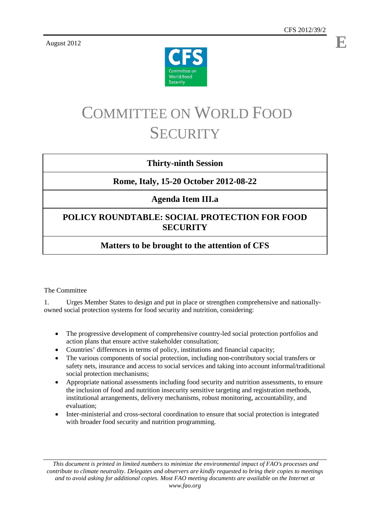**E**

August 2012



# COMMITTEE ON WORLD FOOD **SECURITY**

#### **Thirty-ninth Session**

### **Rome, Italy, 15-20 October 2012-08-22**

### **Agenda Item III.a**

# **POLICY ROUNDTABLE: SOCIAL PROTECTION FOR FOOD SECURITY**

# **Matters to be brought to the attention of CFS**

#### The Committee

1. Urges Member States to design and put in place or strengthen comprehensive and nationallyowned social protection systems for food security and nutrition, considering:

- The progressive development of comprehensive country-led social protection portfolios and action plans that ensure active stakeholder consultation;
- Countries' differences in terms of policy, institutions and financial capacity;
- The various components of social protection, including non-contributory social transfers or safety nets, insurance and access to social services and taking into account informal/traditional social protection mechanisms;
- Appropriate national assessments including food security and nutrition assessments, to ensure the inclusion of food and nutrition insecurity sensitive targeting and registration methods, institutional arrangements, delivery mechanisms, robust monitoring, accountability, and evaluation;
- Inter-ministerial and cross-sectoral coordination to ensure that social protection is integrated with broader food security and nutrition programming.

*This document is printed in limited numbers to minimize the environmental impact of FAO's processes and contribute to climate neutrality. Delegates and observers are kindly requested to bring their copies to meetings and to avoid asking for additional copies. Most FAO meeting documents are available on the Internet at www.fao.org*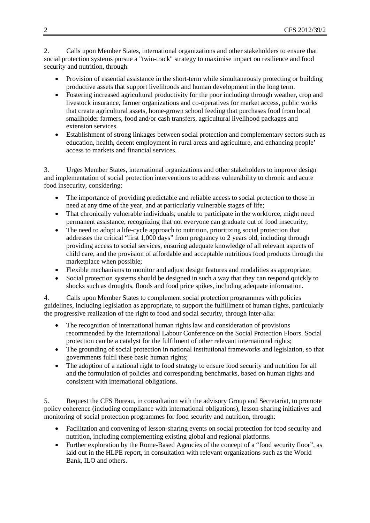2. Calls upon Member States, international organizations and other stakeholders to ensure that social protection systems pursue a "twin-track" strategy to maximise impact on resilience and food security and nutrition, through:

- Provision of essential assistance in the short-term while simultaneously protecting or building productive assets that support livelihoods and human development in the long term.
- Fostering increased agricultural productivity for the poor including through weather, crop and livestock insurance, farmer organizations and co-operatives for market access, public works that create agricultural assets, home-grown school feeding that purchases food from local smallholder farmers, food and/or cash transfers, agricultural livelihood packages and extension services.
- Establishment of strong linkages between social protection and complementary sectors such as education, health, decent employment in rural areas and agriculture, and enhancing people' access to markets and financial services.

3. Urges Member States, international organizations and other stakeholders to improve design and implementation of social protection interventions to address vulnerability to chronic and acute food insecurity, considering:

- The importance of providing predictable and reliable access to social protection to those in need at any time of the year, and at particularly vulnerable stages of life;
- That chronically vulnerable individuals, unable to participate in the workforce, might need permanent assistance, recognizing that not everyone can graduate out of food insecurity;
- The need to adopt a life-cycle approach to nutrition, prioritizing social protection that addresses the critical "first 1,000 days" from pregnancy to 2 years old, including through providing access to social services, ensuring adequate knowledge of all relevant aspects of child care, and the provision of affordable and acceptable nutritious food products through the marketplace when possible;
- Flexible mechanisms to monitor and adjust design features and modalities as appropriate;
- Social protection systems should be designed in such a way that they can respond quickly to shocks such as droughts, floods and food price spikes, including adequate information.

4. Calls upon Member States to complement social protection programmes with policies guidelines, including legislation as appropriate, to support the fulfillment of human rights, particularly the progressive realization of the right to food and social security, through inter-alia:

- The recognition of international human rights law and consideration of provisions recommended by the International Labour Conference on the Social Protection Floors. Social protection can be a catalyst for the fulfilment of other relevant international rights;
- The grounding of social protection in national institutional frameworks and legislation, so that governments fulfil these basic human rights;
- The adoption of a national right to food strategy to ensure food security and nutrition for all and the formulation of policies and corresponding benchmarks, based on human rights and consistent with international obligations.

5. Request the CFS Bureau, in consultation with the advisory Group and Secretariat, to promote policy coherence (including compliance with international obligations), lesson-sharing initiatives and monitoring of social protection programmes for food security and nutrition, through:

- Facilitation and convening of lesson-sharing events on social protection for food security and nutrition, including complementing existing global and regional platforms.
- Further exploration by the Rome-Based Agencies of the concept of a "food security floor", as laid out in the HLPE report, in consultation with relevant organizations such as the World Bank, ILO and others.